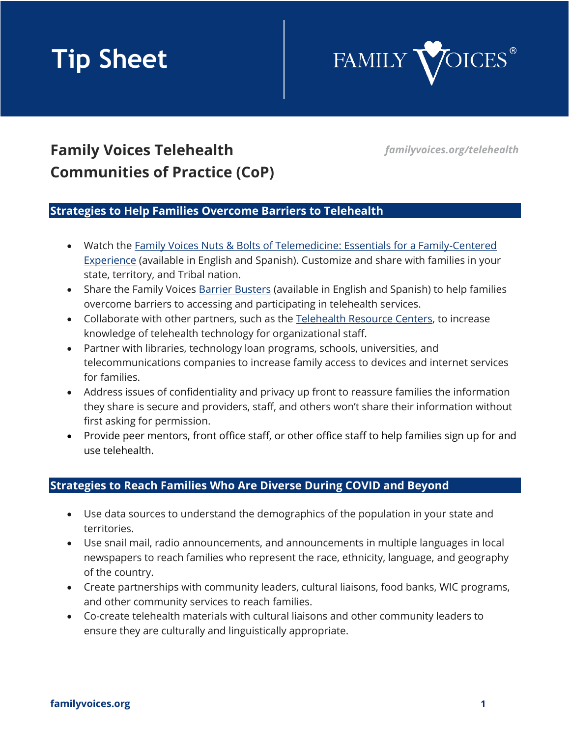# **Tip Sheet**



# **Family Voices Telehealth** *familyvoices.org/telehealth* **Communities of Practice (CoP)**

### **Strategies to Help Families Overcome Barriers to Telehealth**

- Watch the Family Voices Nuts & Bolts of Telemedicine: Essentials for a Family-Centered **[Experience](https://familyvoices.org/telehealth/curriculum/)** (available in English and Spanish). Customize and share with families in your state, territory, and Tribal nation.
- Share the Family Voices [Barrier Busters](https://familyvoices.org/telehealth/barrierbusters/) (available in English and Spanish) to help families overcome barriers to accessing and participating in telehealth services.
- Collaborate with other partners, such as the [Telehealth Resource Centers,](https://telehealthresourcecenter.org/) to increase knowledge of telehealth technology for organizational staff.
- Partner with libraries, technology loan programs, schools, universities, and telecommunications companies to increase family access to devices and internet services for families.
- Address issues of confidentiality and privacy up front to reassure families the information they share is secure and providers, staff, and others won't share their information without first asking for permission.
- Provide peer mentors, front office staff, or other office staff to help families sign up for and use telehealth.

# **Strategies to Reach Families Who Are Diverse During COVID and Beyond**

- Use data sources to understand the demographics of the population in your state and territories.
- Use snail mail, radio announcements, and announcements in multiple languages in local newspapers to reach families who represent the race, ethnicity, language, and geography of the country.
- Create partnerships with community leaders, cultural liaisons, food banks, WIC programs, and other community services to reach families.
- Co-create telehealth materials with cultural liaisons and other community leaders to ensure they are culturally and linguistically appropriate.